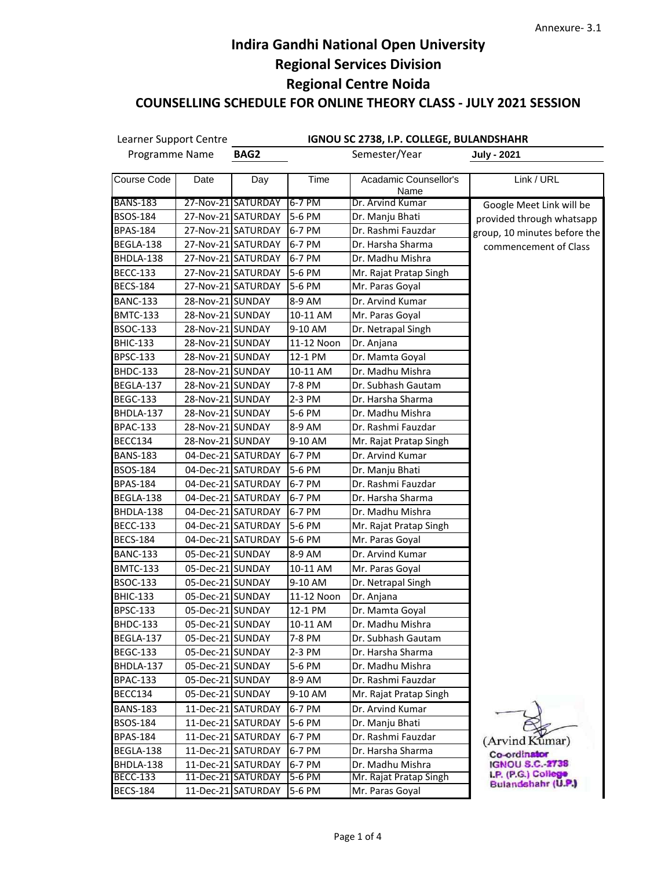| Learner Support Centre |                  |                    |            | IGNOU SC 2738, I.P. COLLEGE, BULANDSHAHR |                                              |
|------------------------|------------------|--------------------|------------|------------------------------------------|----------------------------------------------|
| Programme Name         |                  | BAG2               |            | Semester/Year                            | <b>July - 2021</b>                           |
| Course Code            | Date             | Day                | Time       | Acadamic Counsellor's<br>Name            | Link / URL                                   |
| <b>BANS-183</b>        |                  | 27-Nov-21 SATURDAY | 6-7 PM     | Dr. Arvind Kumar                         | Google Meet Link will be                     |
| <b>BSOS-184</b>        |                  | 27-Nov-21 SATURDAY | 5-6 PM     | Dr. Manju Bhati                          | provided through whatsapp                    |
| <b>BPAS-184</b>        |                  | 27-Nov-21 SATURDAY | 6-7 PM     | Dr. Rashmi Fauzdar                       | group, 10 minutes before the                 |
| BEGLA-138              |                  | 27-Nov-21 SATURDAY | 6-7 PM     | Dr. Harsha Sharma                        | commencement of Class                        |
| BHDLA-138              |                  | 27-Nov-21 SATURDAY | 6-7 PM     | Dr. Madhu Mishra                         |                                              |
| <b>BECC-133</b>        |                  | 27-Nov-21 SATURDAY | 5-6 PM     | Mr. Rajat Pratap Singh                   |                                              |
| <b>BECS-184</b>        |                  | 27-Nov-21 SATURDAY | 5-6 PM     | Mr. Paras Goyal                          |                                              |
| <b>BANC-133</b>        | 28-Nov-21 SUNDAY |                    | 8-9 AM     | Dr. Arvind Kumar                         |                                              |
| <b>BMTC-133</b>        | 28-Nov-21 SUNDAY |                    | 10-11 AM   | Mr. Paras Goyal                          |                                              |
| <b>BSOC-133</b>        | 28-Nov-21 SUNDAY |                    | 9-10 AM    | Dr. Netrapal Singh                       |                                              |
| <b>BHIC-133</b>        | 28-Nov-21 SUNDAY |                    | 11-12 Noon | Dr. Anjana                               |                                              |
| <b>BPSC-133</b>        | 28-Nov-21 SUNDAY |                    | 12-1 PM    | Dr. Mamta Goyal                          |                                              |
| <b>BHDC-133</b>        | 28-Nov-21 SUNDAY |                    | 10-11 AM   | Dr. Madhu Mishra                         |                                              |
| BEGLA-137              | 28-Nov-21 SUNDAY |                    | 7-8 PM     | Dr. Subhash Gautam                       |                                              |
| <b>BEGC-133</b>        | 28-Nov-21 SUNDAY |                    | 2-3 PM     | Dr. Harsha Sharma                        |                                              |
| BHDLA-137              | 28-Nov-21 SUNDAY |                    | 5-6 PM     | Dr. Madhu Mishra                         |                                              |
| <b>BPAC-133</b>        | 28-Nov-21 SUNDAY |                    | 8-9 AM     | Dr. Rashmi Fauzdar                       |                                              |
| BECC134                | 28-Nov-21 SUNDAY |                    | 9-10 AM    | Mr. Rajat Pratap Singh                   |                                              |
| <b>BANS-183</b>        |                  | 04-Dec-21 SATURDAY | 6-7 PM     | Dr. Arvind Kumar                         |                                              |
| <b>BSOS-184</b>        |                  | 04-Dec-21 SATURDAY | 5-6 PM     | Dr. Manju Bhati                          |                                              |
| <b>BPAS-184</b>        |                  | 04-Dec-21 SATURDAY | 6-7 PM     | Dr. Rashmi Fauzdar                       |                                              |
| BEGLA-138              |                  | 04-Dec-21 SATURDAY | 6-7 PM     | Dr. Harsha Sharma                        |                                              |
| BHDLA-138              |                  | 04-Dec-21 SATURDAY | 6-7 PM     | Dr. Madhu Mishra                         |                                              |
| <b>BECC-133</b>        |                  | 04-Dec-21 SATURDAY | 5-6 PM     | Mr. Rajat Pratap Singh                   |                                              |
| <b>BECS-184</b>        |                  | 04-Dec-21 SATURDAY | 5-6 PM     | Mr. Paras Goyal                          |                                              |
| <b>BANC-133</b>        | 05-Dec-21 SUNDAY |                    | 8-9 AM     | Dr. Arvind Kumar                         |                                              |
| <b>BMTC-133</b>        | 05-Dec-21 SUNDAY |                    | 10-11 AM   | Mr. Paras Goyal                          |                                              |
| <b>BSOC-133</b>        | 05-Dec-21 SUNDAY |                    | 9-10 AM    | Dr. Netrapal Singh                       |                                              |
| <b>BHIC-133</b>        | 05-Dec-21 SUNDAY |                    | 11-12 Noon | Dr. Anjana                               |                                              |
| <b>BPSC-133</b>        | 05-Dec-21 SUNDAY |                    | 12-1 PM    | Dr. Mamta Goyal                          |                                              |
| <b>BHDC-133</b>        | 05-Dec-21 SUNDAY |                    | 10-11 AM   | Dr. Madhu Mishra                         |                                              |
| BEGLA-137              | 05-Dec-21 SUNDAY |                    | 7-8 PM     | Dr. Subhash Gautam                       |                                              |
| <b>BEGC-133</b>        | 05-Dec-21 SUNDAY |                    | 2-3 PM     | Dr. Harsha Sharma                        |                                              |
| BHDLA-137              | 05-Dec-21 SUNDAY |                    | 5-6 PM     | Dr. Madhu Mishra                         |                                              |
| <b>BPAC-133</b>        | 05-Dec-21 SUNDAY |                    | 8-9 AM     | Dr. Rashmi Fauzdar                       |                                              |
| BECC134                | 05-Dec-21 SUNDAY |                    | 9-10 AM    | Mr. Rajat Pratap Singh                   |                                              |
| <b>BANS-183</b>        |                  | 11-Dec-21 SATURDAY | 6-7 PM     | Dr. Arvind Kumar                         |                                              |
| <b>BSOS-184</b>        |                  | 11-Dec-21 SATURDAY | 5-6 PM     | Dr. Manju Bhati                          |                                              |
| <b>BPAS-184</b>        |                  | 11-Dec-21 SATURDAY | 6-7 PM     | Dr. Rashmi Fauzdar                       | (Arvind Kumar)                               |
| BEGLA-138              |                  | 11-Dec-21 SATURDAY | 6-7 PM     | Dr. Harsha Sharma                        | Co-ordinator                                 |
| BHDLA-138              |                  | 11-Dec-21 SATURDAY | 6-7 PM     | Dr. Madhu Mishra                         | <b>IGNOU S.C.-2738</b><br>LP. (P.G.) College |
| <b>BECC-133</b>        |                  | 11-Dec-21 SATURDAY | 5-6 PM     | Mr. Rajat Pratap Singh                   | Bulandshahr (U.P.)                           |
| <b>BECS-184</b>        |                  | 11-Dec-21 SATURDAY | 5-6 PM     | Mr. Paras Goyal                          |                                              |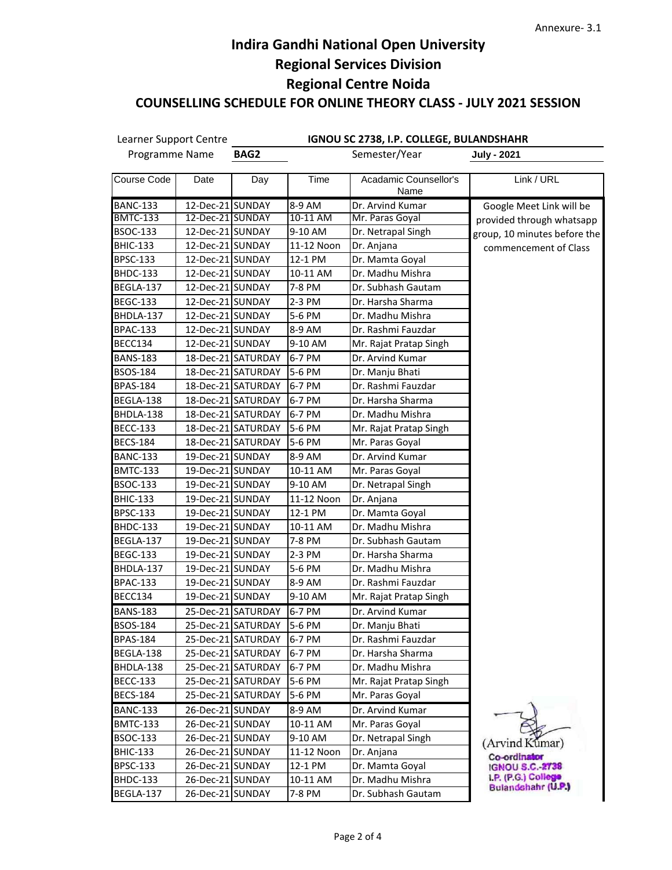| Learner Support Centre<br>Programme Name |                  | IGNOU SC 2738, I.P. COLLEGE, BULANDSHAHR |            |                               |                                        |  |  |
|------------------------------------------|------------------|------------------------------------------|------------|-------------------------------|----------------------------------------|--|--|
|                                          |                  | Semester/Year<br>BAG2                    |            |                               | <b>July - 2021</b>                     |  |  |
| Course Code                              | Date             | Day                                      | Time       | Acadamic Counsellor's<br>Name | Link / URL                             |  |  |
| <b>BANC-133</b>                          | 12-Dec-21 SUNDAY |                                          | 8-9 AM     | Dr. Arvind Kumar              | Google Meet Link will be               |  |  |
| <b>BMTC-133</b>                          | 12-Dec-21 SUNDAY |                                          | 10-11 AM   | Mr. Paras Goyal               | provided through whatsapp              |  |  |
| BSOC-133                                 | 12-Dec-21 SUNDAY |                                          | 9-10 AM    | Dr. Netrapal Singh            | group, 10 minutes before the           |  |  |
| <b>BHIC-133</b>                          | 12-Dec-21 SUNDAY |                                          | 11-12 Noon | Dr. Anjana                    | commencement of Class                  |  |  |
| <b>BPSC-133</b>                          | 12-Dec-21 SUNDAY |                                          | 12-1 PM    | Dr. Mamta Goyal               |                                        |  |  |
| BHDC-133                                 | 12-Dec-21 SUNDAY |                                          | 10-11 AM   | Dr. Madhu Mishra              |                                        |  |  |
| BEGLA-137                                | 12-Dec-21 SUNDAY |                                          | 7-8 PM     | Dr. Subhash Gautam            |                                        |  |  |
| <b>BEGC-133</b>                          | 12-Dec-21 SUNDAY |                                          | 2-3 PM     | Dr. Harsha Sharma             |                                        |  |  |
| BHDLA-137                                | 12-Dec-21 SUNDAY |                                          | 5-6 PM     | Dr. Madhu Mishra              |                                        |  |  |
| <b>BPAC-133</b>                          | 12-Dec-21 SUNDAY |                                          | 8-9 AM     | Dr. Rashmi Fauzdar            |                                        |  |  |
| BECC134                                  | 12-Dec-21 SUNDAY |                                          | 9-10 AM    | Mr. Rajat Pratap Singh        |                                        |  |  |
| <b>BANS-183</b>                          |                  | 18-Dec-21 SATURDAY                       | 6-7 PM     | Dr. Arvind Kumar              |                                        |  |  |
| BSOS-184                                 |                  | 18-Dec-21 SATURDAY                       | 5-6 PM     | Dr. Manju Bhati               |                                        |  |  |
| BPAS-184                                 |                  | 18-Dec-21 SATURDAY                       | 6-7 PM     | Dr. Rashmi Fauzdar            |                                        |  |  |
| BEGLA-138                                |                  | 18-Dec-21 SATURDAY                       | 6-7 PM     | Dr. Harsha Sharma             |                                        |  |  |
| BHDLA-138                                |                  | 18-Dec-21 SATURDAY                       | 6-7 PM     | Dr. Madhu Mishra              |                                        |  |  |
| <b>BECC-133</b>                          |                  | 18-Dec-21 SATURDAY                       | 5-6 PM     | Mr. Rajat Pratap Singh        |                                        |  |  |
| <b>BECS-184</b>                          |                  | 18-Dec-21 SATURDAY                       | 5-6 PM     | Mr. Paras Goyal               |                                        |  |  |
| <b>BANC-133</b>                          | 19-Dec-21 SUNDAY |                                          | 8-9 AM     | Dr. Arvind Kumar              |                                        |  |  |
| <b>BMTC-133</b>                          | 19-Dec-21 SUNDAY |                                          | 10-11 AM   | Mr. Paras Goyal               |                                        |  |  |
| BSOC-133                                 | 19-Dec-21 SUNDAY |                                          | 9-10 AM    | Dr. Netrapal Singh            |                                        |  |  |
| <b>BHIC-133</b>                          | 19-Dec-21 SUNDAY |                                          | 11-12 Noon | Dr. Anjana                    |                                        |  |  |
| BPSC-133                                 | 19-Dec-21 SUNDAY |                                          | 12-1 PM    | Dr. Mamta Goyal               |                                        |  |  |
| <b>BHDC-133</b>                          | 19-Dec-21 SUNDAY |                                          | 10-11 AM   | Dr. Madhu Mishra              |                                        |  |  |
| BEGLA-137                                | 19-Dec-21 SUNDAY |                                          | 7-8 PM     | Dr. Subhash Gautam            |                                        |  |  |
| <b>BEGC-133</b>                          | 19-Dec-21 SUNDAY |                                          | 2-3 PM     | Dr. Harsha Sharma             |                                        |  |  |
| BHDLA-137                                | 19-Dec-21 SUNDAY |                                          | 5-6 PM     | Dr. Madhu Mishra              |                                        |  |  |
| <b>BPAC-133</b>                          | 19-Dec-21 SUNDAY |                                          | 8-9 AM     | Dr. Rashmi Fauzdar            |                                        |  |  |
| BECC134                                  | 19-Dec-21 SUNDAY |                                          | 9-10 AM    | Mr. Rajat Pratap Singh        |                                        |  |  |
| <b>BANS-183</b>                          |                  | 25-Dec-21 SATURDAY                       | 6-7 PM     | Dr. Arvind Kumar              |                                        |  |  |
| <b>BSOS-184</b>                          |                  | 25-Dec-21 SATURDAY                       | 5-6 PM     | Dr. Manju Bhati               |                                        |  |  |
| <b>BPAS-184</b>                          |                  | 25-Dec-21 SATURDAY                       | 6-7 PM     | Dr. Rashmi Fauzdar            |                                        |  |  |
| BEGLA-138                                |                  | 25-Dec-21 SATURDAY                       | 6-7 PM     | Dr. Harsha Sharma             |                                        |  |  |
| BHDLA-138                                |                  | 25-Dec-21 SATURDAY                       | 6-7 PM     | Dr. Madhu Mishra              |                                        |  |  |
| <b>BECC-133</b>                          |                  | 25-Dec-21 SATURDAY                       | 5-6 PM     | Mr. Rajat Pratap Singh        |                                        |  |  |
| <b>BECS-184</b>                          |                  | 25-Dec-21 SATURDAY                       | 5-6 PM     | Mr. Paras Goyal               |                                        |  |  |
| <b>BANC-133</b>                          | 26-Dec-21 SUNDAY |                                          | 8-9 AM     | Dr. Arvind Kumar              |                                        |  |  |
| <b>BMTC-133</b>                          | 26-Dec-21 SUNDAY |                                          | 10-11 AM   | Mr. Paras Goyal               |                                        |  |  |
| BSOC-133                                 | 26-Dec-21 SUNDAY |                                          | 9-10 AM    | Dr. Netrapal Singh            |                                        |  |  |
| <b>BHIC-133</b>                          | 26-Dec-21 SUNDAY |                                          | 11-12 Noon | Dr. Anjana                    | (Arvind Kumar)                         |  |  |
| <b>BPSC-133</b>                          | 26-Dec-21 SUNDAY |                                          | 12-1 PM    | Dr. Mamta Goyal               | Co-ordinator<br><b>IGNOU S.C. 2738</b> |  |  |
| <b>BHDC-133</b>                          | 26-Dec-21 SUNDAY |                                          | 10-11 AM   | Dr. Madhu Mishra              | I.P. (P.G.) College                    |  |  |
| BEGLA-137                                | 26-Dec-21 SUNDAY |                                          | 7-8 PM     | Dr. Subhash Gautam            | Bulandshahr (U.P.)                     |  |  |
|                                          |                  |                                          |            |                               |                                        |  |  |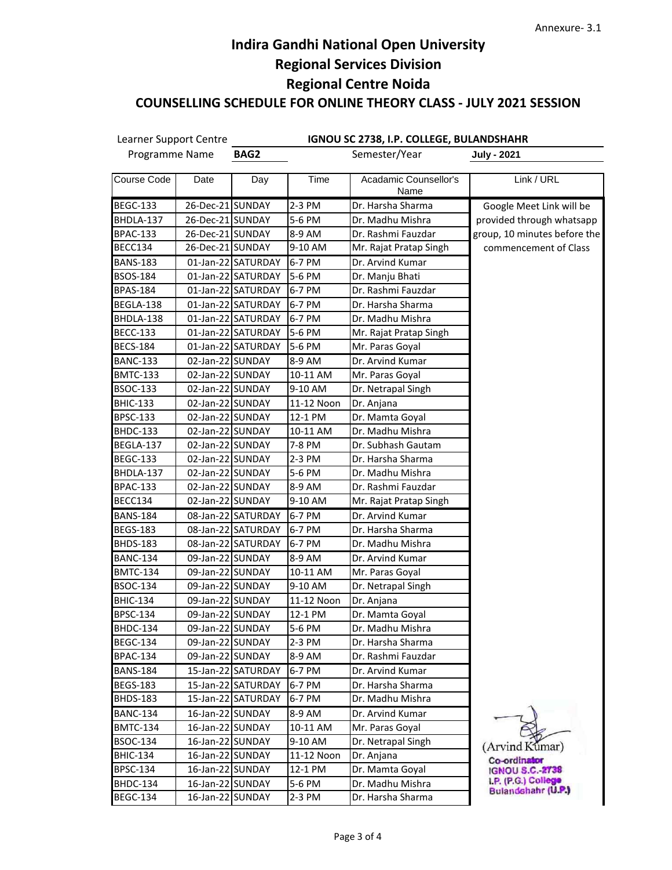| Learner Support Centre |                  |                              |            | IGNOU SC 2738, I.P. COLLEGE, BULANDSHAHR |                              |
|------------------------|------------------|------------------------------|------------|------------------------------------------|------------------------------|
| Programme Name         |                  | Semester/Year<br><b>BAG2</b> |            | <b>July - 2021</b>                       |                              |
| Course Code            | Date             | Day                          | Time       | Acadamic Counsellor's<br>Name            | Link / URL                   |
| <b>BEGC-133</b>        | 26-Dec-21 SUNDAY |                              | 2-3 PM     | Dr. Harsha Sharma                        | Google Meet Link will be     |
| BHDLA-137              | 26-Dec-21 SUNDAY |                              | 5-6 PM     | Dr. Madhu Mishra                         | provided through whatsapp    |
| <b>BPAC-133</b>        | 26-Dec-21 SUNDAY |                              | 8-9 AM     | Dr. Rashmi Fauzdar                       | group, 10 minutes before the |
| BECC134                | 26-Dec-21 SUNDAY |                              | 9-10 AM    | Mr. Rajat Pratap Singh                   | commencement of Class        |
| <b>BANS-183</b>        |                  | 01-Jan-22 SATURDAY           | 6-7 PM     | Dr. Arvind Kumar                         |                              |
| BSOS-184               |                  | 01-Jan-22 SATURDAY           | 5-6 PM     | Dr. Manju Bhati                          |                              |
| BPAS-184               |                  | 01-Jan-22 SATURDAY           | 6-7 PM     | Dr. Rashmi Fauzdar                       |                              |
| BEGLA-138              |                  | 01-Jan-22 SATURDAY           | 6-7 PM     | Dr. Harsha Sharma                        |                              |
| BHDLA-138              |                  | 01-Jan-22 SATURDAY           | 6-7 PM     | Dr. Madhu Mishra                         |                              |
| <b>BECC-133</b>        |                  | 01-Jan-22 SATURDAY           | 5-6 PM     | Mr. Rajat Pratap Singh                   |                              |
| BECS-184               |                  | 01-Jan-22 SATURDAY           | 5-6 PM     | Mr. Paras Goyal                          |                              |
| <b>BANC-133</b>        | 02-Jan-22 SUNDAY |                              | 8-9 AM     | Dr. Arvind Kumar                         |                              |
| <b>BMTC-133</b>        | 02-Jan-22 SUNDAY |                              | 10-11 AM   | Mr. Paras Goyal                          |                              |
| BSOC-133               | 02-Jan-22 SUNDAY |                              | 9-10 AM    | Dr. Netrapal Singh                       |                              |
| BHIC-133               | 02-Jan-22 SUNDAY |                              | 11-12 Noon | Dr. Anjana                               |                              |
| BPSC-133               | 02-Jan-22 SUNDAY |                              | 12-1 PM    | Dr. Mamta Goyal                          |                              |
| <b>BHDC-133</b>        | 02-Jan-22 SUNDAY |                              | 10-11 AM   | Dr. Madhu Mishra                         |                              |
| BEGLA-137              | 02-Jan-22 SUNDAY |                              | 7-8 PM     | Dr. Subhash Gautam                       |                              |
| BEGC-133               | 02-Jan-22 SUNDAY |                              | 2-3 PM     | Dr. Harsha Sharma                        |                              |
| BHDLA-137              | 02-Jan-22 SUNDAY |                              | 5-6 PM     | Dr. Madhu Mishra                         |                              |
| <b>BPAC-133</b>        | 02-Jan-22 SUNDAY |                              | 8-9 AM     | Dr. Rashmi Fauzdar                       |                              |
| BECC134                | 02-Jan-22 SUNDAY |                              | 9-10 AM    | Mr. Rajat Pratap Singh                   |                              |
| <b>BANS-184</b>        |                  | 08-Jan-22 SATURDAY           | 6-7 PM     | Dr. Arvind Kumar                         |                              |
| <b>BEGS-183</b>        |                  | 08-Jan-22 SATURDAY           | 6-7 PM     | Dr. Harsha Sharma                        |                              |
| BHDS-183               |                  | 08-Jan-22 SATURDAY           | 6-7 PM     | Dr. Madhu Mishra                         |                              |
| <b>BANC-134</b>        | 09-Jan-22 SUNDAY |                              | 8-9 AM     | Dr. Arvind Kumar                         |                              |
| BMTC-134               | 09-Jan-22 SUNDAY |                              | 10-11 AM   | Mr. Paras Goyal                          |                              |
| BSOC-134               | 09-Jan-22 SUNDAY |                              | 9-10 AM    | Dr. Netrapal Singh                       |                              |
| <b>BHIC-134</b>        | 09-Jan-22 SUNDAY |                              | 11-12 Noon | Dr. Anjana                               |                              |
| BPSC-134               | 09-Jan-22 SUNDAY |                              | 12-1 PM    | Dr. Mamta Goyal                          |                              |
| <b>BHDC-134</b>        | 09-Jan-22 SUNDAY |                              | $5-6$ PM   | Dr. Madhu Mishra                         |                              |
| <b>BEGC-134</b>        | 09-Jan-22 SUNDAY |                              | 2-3 PM     | Dr. Harsha Sharma                        |                              |
| <b>BPAC-134</b>        | 09-Jan-22 SUNDAY |                              | 8-9 AM     | Dr. Rashmi Fauzdar                       |                              |
| <b>BANS-184</b>        |                  | 15-Jan-22 SATURDAY           | 6-7 PM     | Dr. Arvind Kumar                         |                              |
| <b>BEGS-183</b>        |                  | 15-Jan-22 SATURDAY           | 6-7 PM     | Dr. Harsha Sharma                        |                              |
| <b>BHDS-183</b>        |                  | 15-Jan-22 SATURDAY           | 6-7 PM     | Dr. Madhu Mishra                         |                              |
| <b>BANC-134</b>        | 16-Jan-22 SUNDAY |                              | 8-9 AM     | Dr. Arvind Kumar                         |                              |
| <b>BMTC-134</b>        | 16-Jan-22 SUNDAY |                              | 10-11 AM   | Mr. Paras Goyal                          |                              |
| BSOC-134               | 16-Jan-22 SUNDAY |                              | 9-10 AM    | Dr. Netrapal Singh                       | (Arvind Kumar)               |
| BHIC-134               | 16-Jan-22 SUNDAY |                              | 11-12 Noon | Dr. Anjana                               | Co-ordinator                 |
| BPSC-134               | 16-Jan-22 SUNDAY |                              | 12-1 PM    | Dr. Mamta Goyal                          | <b>IGNOU S.C. 2738</b>       |
| <b>BHDC-134</b>        | 16-Jan-22 SUNDAY |                              | 5-6 PM     | Dr. Madhu Mishra                         | LP. (P.G.) College           |
| <b>BEGC-134</b>        | 16-Jan-22 SUNDAY |                              | 2-3 PM     | Dr. Harsha Sharma                        | Bulandshahr (U.P.)           |
|                        |                  |                              |            |                                          |                              |